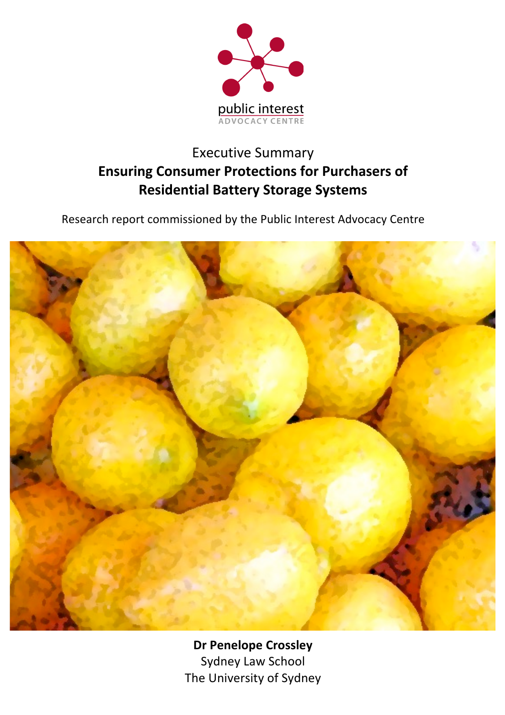

# **Executive Summary Ensuring Consumer Protections for Purchasers of Residential Battery Storage Systems**

Research report commissioned by the Public Interest Advocacy Centre



**Dr Penelope Crossley** Sydney Law School The University of Sydney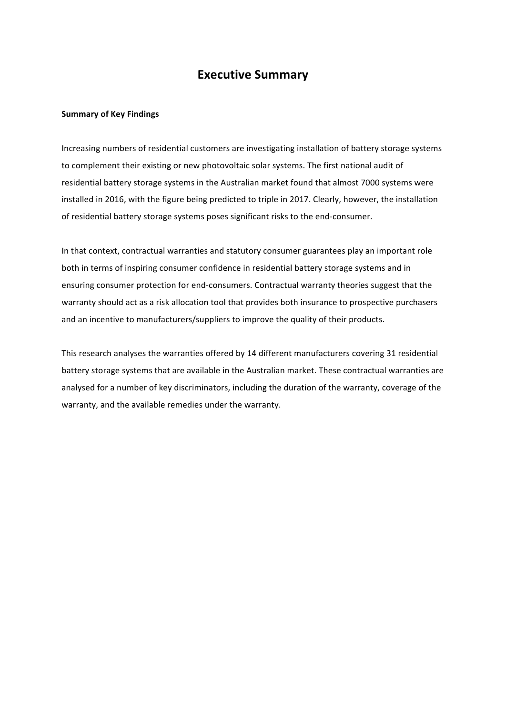### **Executive Summary**

#### **Summary of Key Findings**

Increasing numbers of residential customers are investigating installation of battery storage systems to complement their existing or new photovoltaic solar systems. The first national audit of residential battery storage systems in the Australian market found that almost 7000 systems were installed in 2016, with the figure being predicted to triple in 2017. Clearly, however, the installation of residential battery storage systems poses significant risks to the end-consumer.

In that context, contractual warranties and statutory consumer guarantees play an important role both in terms of inspiring consumer confidence in residential battery storage systems and in ensuring consumer protection for end-consumers. Contractual warranty theories suggest that the warranty should act as a risk allocation tool that provides both insurance to prospective purchasers and an incentive to manufacturers/suppliers to improve the quality of their products.

This research analyses the warranties offered by 14 different manufacturers covering 31 residential battery storage systems that are available in the Australian market. These contractual warranties are analysed for a number of key discriminators, including the duration of the warranty, coverage of the warranty, and the available remedies under the warranty.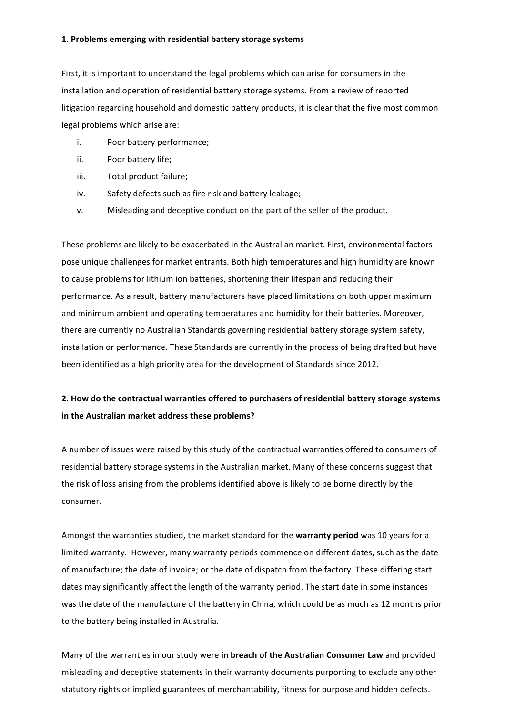#### **1. Problems emerging with residential battery storage systems**

First, it is important to understand the legal problems which can arise for consumers in the installation and operation of residential battery storage systems. From a review of reported litigation regarding household and domestic battery products, it is clear that the five most common legal problems which arise are:

- i. Poor battery performance;
- ii. Poor battery life;
- iii. Total product failure;
- iv. Safety defects such as fire risk and battery leakage;
- v. Misleading and deceptive conduct on the part of the seller of the product.

These problems are likely to be exacerbated in the Australian market. First, environmental factors pose unique challenges for market entrants. Both high temperatures and high humidity are known to cause problems for lithium ion batteries, shortening their lifespan and reducing their performance. As a result, battery manufacturers have placed limitations on both upper maximum and minimum ambient and operating temperatures and humidity for their batteries. Moreover, there are currently no Australian Standards governing residential battery storage system safety, installation or performance. These Standards are currently in the process of being drafted but have been identified as a high priority area for the development of Standards since 2012.

### **2.** How do the contractual warranties offered to purchasers of residential battery storage systems in the Australian market address these problems?

A number of issues were raised by this study of the contractual warranties offered to consumers of residential battery storage systems in the Australian market. Many of these concerns suggest that the risk of loss arising from the problems identified above is likely to be borne directly by the consumer. 

Amongst the warranties studied, the market standard for the warranty period was 10 years for a limited warranty. However, many warranty periods commence on different dates, such as the date of manufacture; the date of invoice; or the date of dispatch from the factory. These differing start dates may significantly affect the length of the warranty period. The start date in some instances was the date of the manufacture of the battery in China, which could be as much as 12 months prior to the battery being installed in Australia.

Many of the warranties in our study were in breach of the Australian Consumer Law and provided misleading and deceptive statements in their warranty documents purporting to exclude any other statutory rights or implied guarantees of merchantability, fitness for purpose and hidden defects.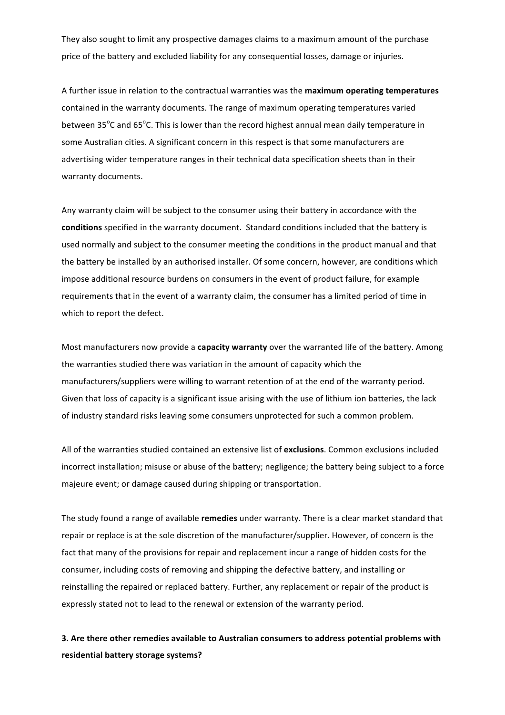They also sought to limit any prospective damages claims to a maximum amount of the purchase price of the battery and excluded liability for any consequential losses, damage or injuries.

A further issue in relation to the contractual warranties was the **maximum operating temperatures** contained in the warranty documents. The range of maximum operating temperatures varied between 35<sup>o</sup>C and 65<sup>o</sup>C. This is lower than the record highest annual mean daily temperature in some Australian cities. A significant concern in this respect is that some manufacturers are advertising wider temperature ranges in their technical data specification sheets than in their warranty documents.

Any warranty claim will be subject to the consumer using their battery in accordance with the conditions specified in the warranty document. Standard conditions included that the battery is used normally and subject to the consumer meeting the conditions in the product manual and that the battery be installed by an authorised installer. Of some concern, however, are conditions which impose additional resource burdens on consumers in the event of product failure, for example requirements that in the event of a warranty claim, the consumer has a limited period of time in which to report the defect.

Most manufacturers now provide a **capacity warranty** over the warranted life of the battery. Among the warranties studied there was variation in the amount of capacity which the manufacturers/suppliers were willing to warrant retention of at the end of the warranty period. Given that loss of capacity is a significant issue arising with the use of lithium ion batteries, the lack of industry standard risks leaving some consumers unprotected for such a common problem.

All of the warranties studied contained an extensive list of exclusions. Common exclusions included incorrect installation; misuse or abuse of the battery; negligence; the battery being subject to a force majeure event; or damage caused during shipping or transportation.

The study found a range of available **remedies** under warranty. There is a clear market standard that repair or replace is at the sole discretion of the manufacturer/supplier. However, of concern is the fact that many of the provisions for repair and replacement incur a range of hidden costs for the consumer, including costs of removing and shipping the defective battery, and installing or reinstalling the repaired or replaced battery. Further, any replacement or repair of the product is expressly stated not to lead to the renewal or extension of the warranty period.

## **3.** Are there other remedies available to Australian consumers to address potential problems with **residential battery storage systems?**